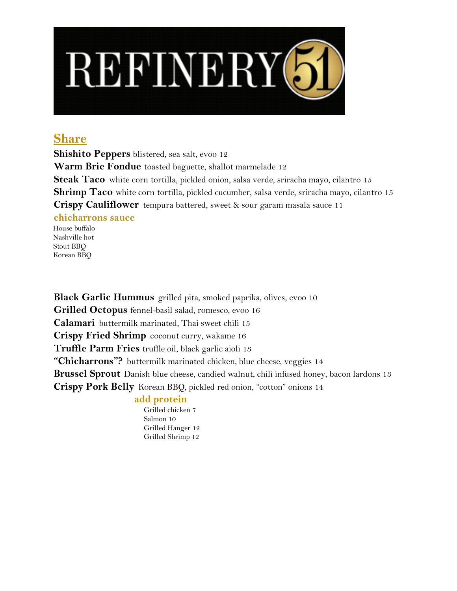

## **Share**

**Shishito Peppers** blistered, sea salt, evoo 12 **Warm Brie Fondue** toasted baguette, shallot marmelade 12 **Steak Taco** white corn tortilla, pickled onion, salsa verde, sriracha mayo, cilantro 15 **Shrimp Taco** white corn tortilla, pickled cucumber, salsa verde, sriracha mayo, cilantro 15 **Crispy Cauliflower** tempura battered, sweet & sour garam masala sauce 11 **chicharrons sauce**

 House buffalo Nashville hot Stout BBQ Korean BBQ

**Black Garlic Hummus** grilled pita, smoked paprika, olives, evoo 10 **Grilled Octopus** fennel-basil salad, romesco, evoo 16 **Calamari** buttermilk marinated, Thai sweet chili 15 **Crispy Fried Shrimp** coconut curry, wakame 16 **Truffle Parm Fries** truffle oil, black garlic aioli 13 "Chicharrons"? buttermilk marinated chicken, blue cheese, veggies 14 **Brussel Sprout** Danish blue cheese, candied walnut, chili infused honey, bacon lardons 13 **Crispy Pork Belly** Korean BBQ, pickled red onion, "cotton" onions 14

## **add protein**

 Grilled chicken 7 Salmon 10 Grilled Hanger 12 Grilled Shrimp 12